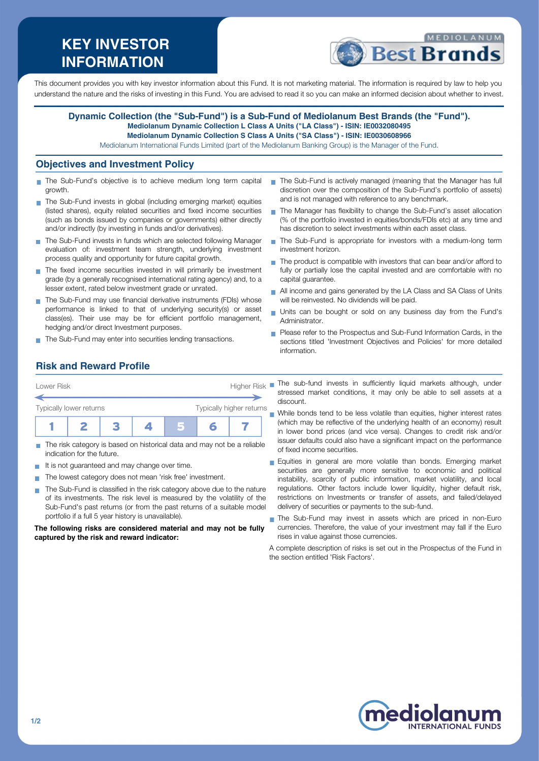# **KEY INVESTOR INFORMATION**



This document provides you with key investor information about this Fund. It is not marketing material. The information is required by law to help you understand the nature and the risks of investing in this Fund. You are advised to read it so you can make an informed decision about whether to invest.

#### **Dynamic Collection (the "Sub-Fund") is a Sub-Fund of Mediolanum Best Brands (the "Fund"). Mediolanum Dynamic Collection L Class A Units ("LA Class") - ISIN: IE0032080495 Mediolanum Dynamic Collection S Class A Units ("SA Class") - ISIN: IE0030608966**

Mediolanum International Funds Limited (part of the Mediolanum Banking Group) is the Manager of the Fund.

#### **Objectives and Investment Policy**

- The Sub-Fund's objective is to achieve medium long term capital growth.
- The Sub-Fund invests in global (including emerging market) equities (listed shares), equity related securities and fixed income securities (such as bonds issued by companies or governments) either directly and/or indirectly (by investing in funds and/or derivatives).
- The Sub-Fund invests in funds which are selected following Manager evaluation of: investment team strength, underlying investment process quality and opportunity for future capital growth.
- $\blacksquare$  The fixed income securities invested in will primarily be investment grade (by a generally recognised international rating agency) and, to a lesser extent, rated below investment grade or unrated.
- The Sub-Fund may use financial derivative instruments (FDIs) whose performance is linked to that of underlying security(s) or asset class(es). Their use may be for efficient portfolio management, hedging and/or direct Investment purposes.
- The Sub-Fund may enter into securities lending transactions.
- The Sub-Fund is actively managed (meaning that the Manager has full discretion over the composition of the Sub-Fund's portfolio of assets) and is not managed with reference to any benchmark.
- The Manager has flexibility to change the Sub-Fund's asset allocation (% of the portfolio invested in equities/bonds/FDIs etc) at any time and has discretion to select investments within each asset class.
- The Sub-Fund is appropriate for investors with a medium-long term investment horizon.
- The product is compatible with investors that can bear and/or afford to fully or partially lose the capital invested and are comfortable with no capital guarantee.
- All income and gains generated by the LA Class and SA Class of Units will be reinvested. No dividends will be paid.
- Units can be bought or sold on any business day from the Fund's Administrator.
- **Please refer to the Prospectus and Sub-Fund Information Cards, in the** sections titled 'Investment Objectives and Policies' for more detailed information.

#### **Risk and Reward Profile**

| Lower Risk              |  |  | <b>Higher Risk</b>       |  |  |  |  |
|-------------------------|--|--|--------------------------|--|--|--|--|
| Typically lower returns |  |  | Typically higher returns |  |  |  |  |
|                         |  |  |                          |  |  |  |  |

- The risk category is based on historical data and may not be a reliable indication for the future.
- It is not guaranteed and may change over time. **CO**
- The lowest category does not mean 'risk free' investment.  $\mathcal{L}_{\mathcal{A}}$
- The Sub-Fund is classified in the risk category above due to the nature of its investments. The risk level is measured by the volatility of the Sub-Fund's past returns (or from the past returns of a suitable model portfolio if a full 5 year history is unavailable).

**The following risks are considered material and may not be fully captured by the risk and reward indicator:**

- The sub-fund invests in sufficiently liquid markets although, under stressed market conditions, it may only be able to sell assets at a discount.
- While bonds tend to be less volatile than equities, higher interest rates (which may be reflective of the underlying health of an economy) result in lower bond prices (and vice versa). Changes to credit risk and/or issuer defaults could also have a significant impact on the performance of fixed income securities.
- **Equities in general are more volatile than bonds. Emerging market** securities are generally more sensitive to economic and political instability, scarcity of public information, market volatility, and local regulations. Other factors include lower liquidity, higher default risk, restrictions on Investments or transfer of assets, and failed/delayed delivery of securities or payments to the sub-fund.
- The Sub-Fund may invest in assets which are priced in non-Euro currencies. Therefore, the value of your investment may fall if the Euro rises in value against those currencies.

A complete description of risks is set out in the Prospectus of the Fund in the section entitled 'Risk Factors'.